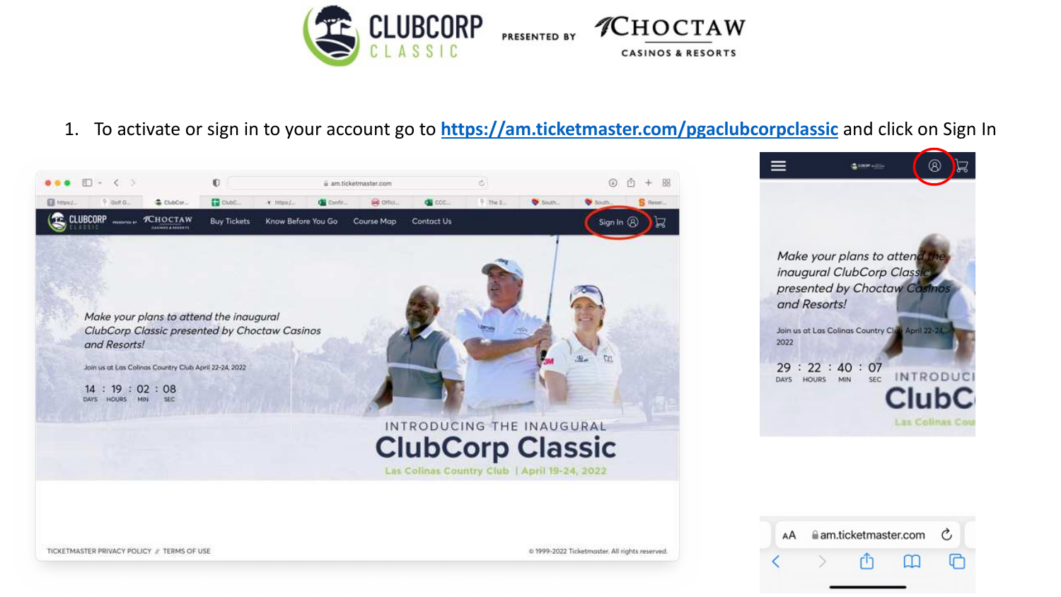

# 1. To activate or sign in to your account go to **<https://am.ticketmaster.com/pgaclubcorpclassic>** and click on Sign In



 $\equiv$  $^{\circ}$  $\mathbf{z}$ **GREY COLL** Make your plans to attend t inaugural ClubCorp Classic presented by Choctaw Casinos and Resorts! Join us at Las Colinas Country Club April 22-24, 2022  $29:22:40:07$ INTRODUC DAYS HOURS MIN **SEC Las Colinas Cou** 

am.ticketmaster.com

AA

C

TICKETMASTER PRIVACY POLICY F TERMS OF USE

@ 1999-2022 Ticketmaster, All rights reserved.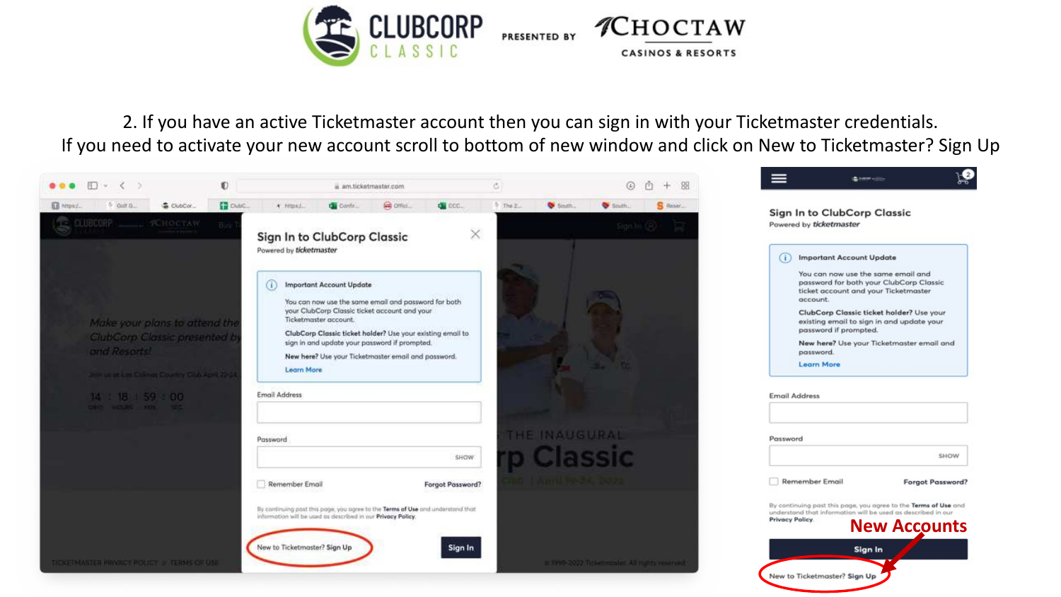

2. If you have an active Ticketmaster account then you can sign in with your Ticketmaster credentials. If you need to activate your new account scroll to bottom of new window and click on New to Ticketmaster? Sign Up

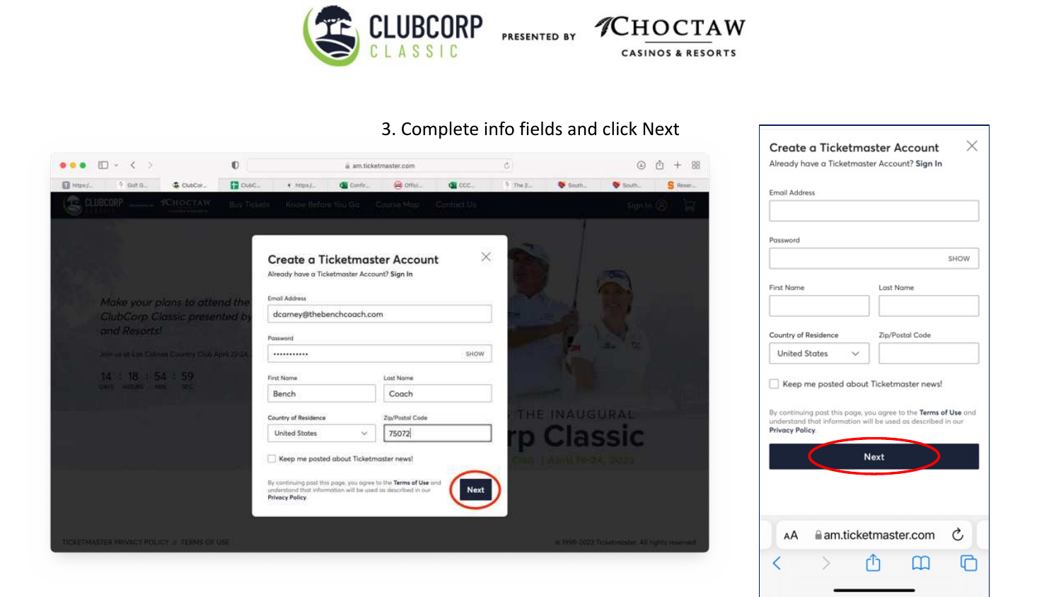

PRESENTED BY *CHOCTAW* **CASINOS & RESORTS** 

#### 3. Complete info fields and click Next



| Email Address        |                                                                                                                                                                            |
|----------------------|----------------------------------------------------------------------------------------------------------------------------------------------------------------------------|
| Password             |                                                                                                                                                                            |
|                      | SHOW                                                                                                                                                                       |
| First Name           | Last Name                                                                                                                                                                  |
| Country of Residence | Zip/Postal Code                                                                                                                                                            |
| United States        |                                                                                                                                                                            |
|                      | Keep me posted about Ticketmaster news!<br>By continuing past this page, you agree to the Terms of Use and<br>understand that information will be used as described in our |
| Privacy Policy.      |                                                                                                                                                                            |
|                      | <b>Next</b>                                                                                                                                                                |
|                      |                                                                                                                                                                            |
|                      |                                                                                                                                                                            |
| AA                   | Ċ<br>am.ticketmaster.com                                                                                                                                                   |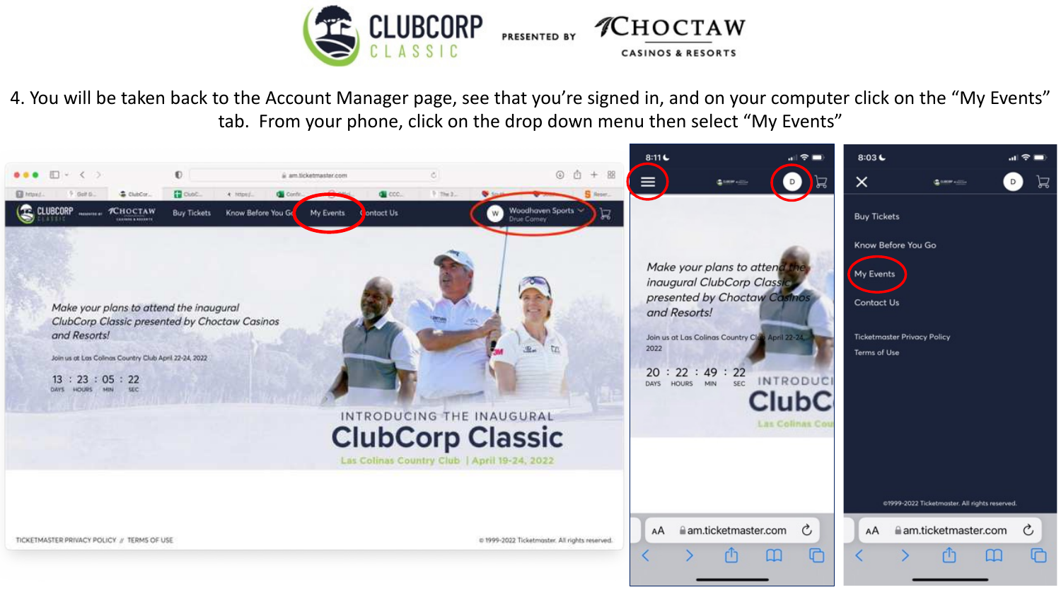

4. You will be taken back to the Account Manager page, see that you're signed in, and on your computer click on the "My Events" tab. From your phone, click on the drop down menu then select "My Events"

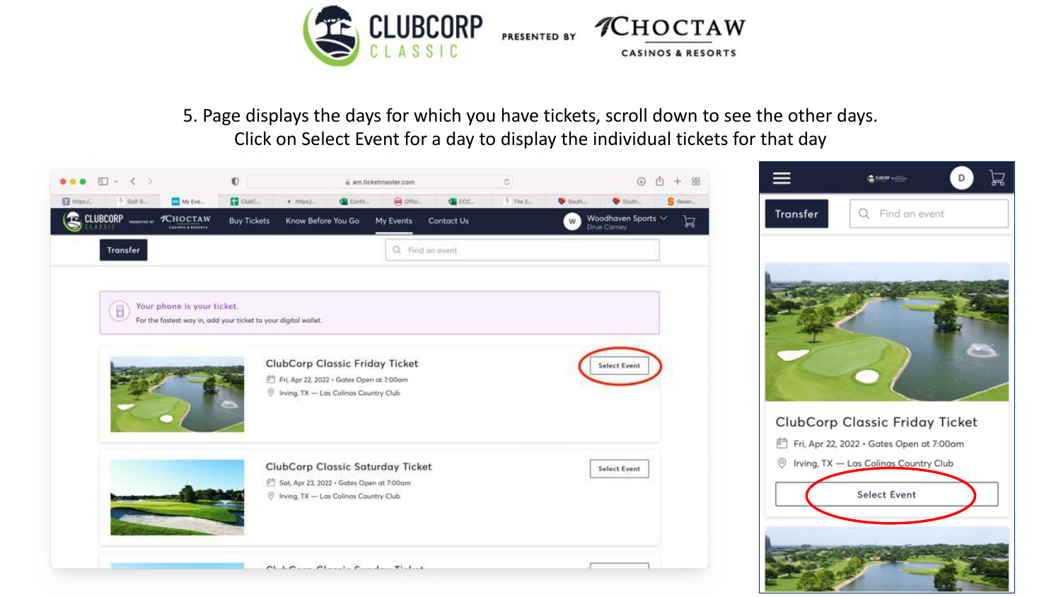

5. Page displays the days for which you have tickets, scroll down to see the other days. Click on Select Event for a day to display the individual tickets for that day

![](_page_4_Picture_2.jpeg)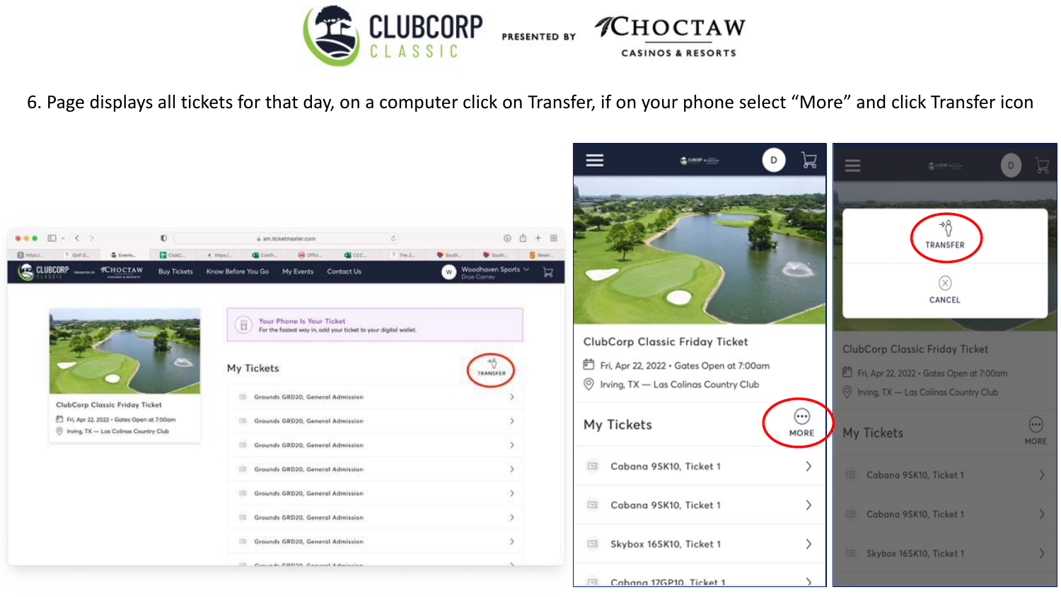![](_page_5_Picture_0.jpeg)

6. Page displays all tickets for that day, on a computer click on Transfer, if on your phone select "More" and click Transfer icon

![](_page_5_Picture_2.jpeg)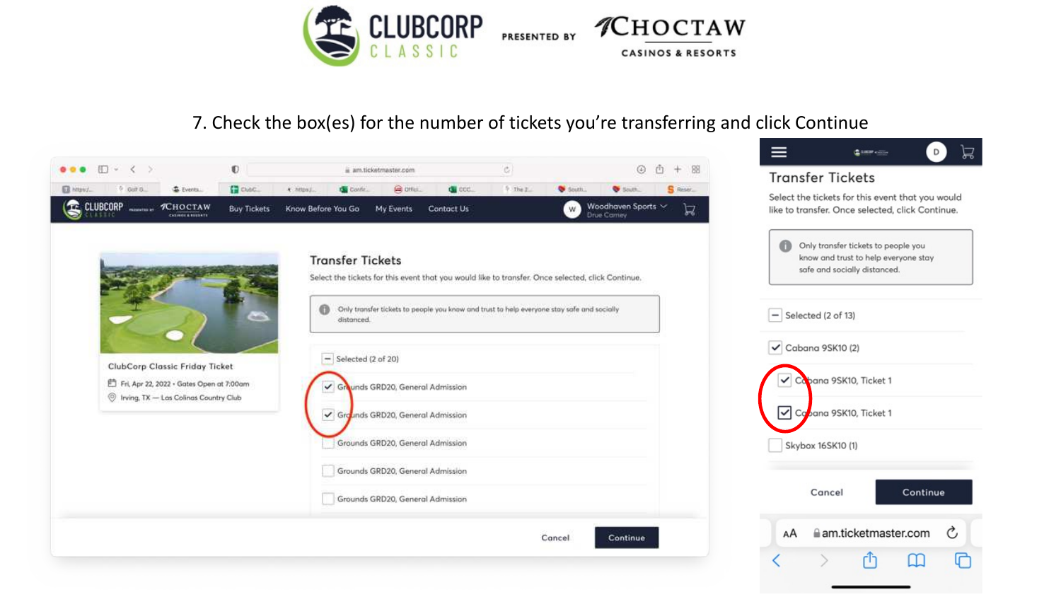![](_page_6_Picture_0.jpeg)

# 7. Check the box(es) for the number of tickets you're transferring and click Continue

![](_page_6_Picture_2.jpeg)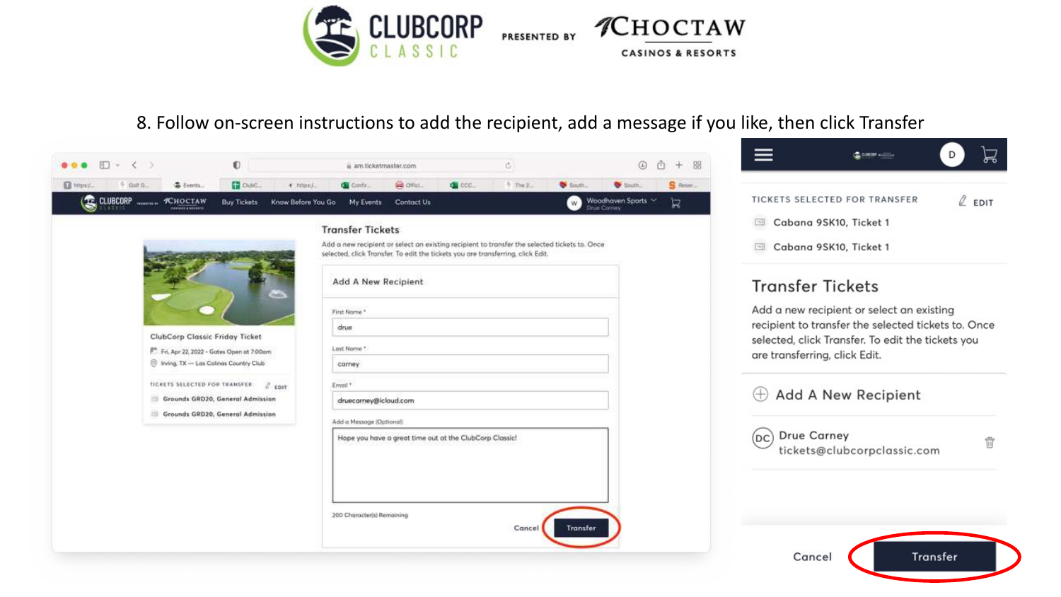![](_page_7_Picture_0.jpeg)

#### 8. Follow on-screen instructions to add the recipient, add a message if you like, then click Transfer

![](_page_7_Picture_2.jpeg)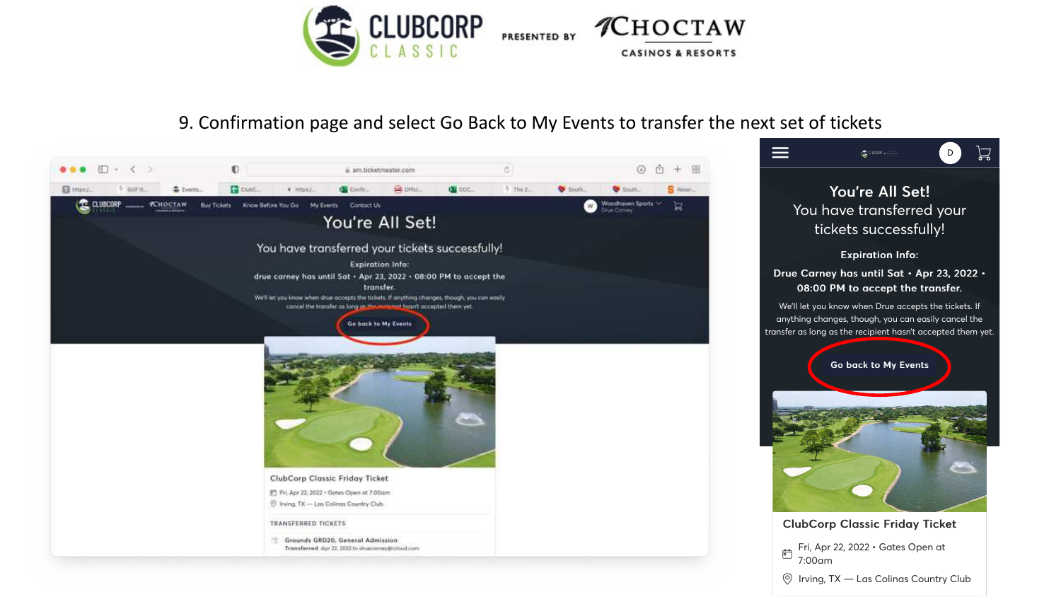![](_page_8_Picture_0.jpeg)

# 9. Confirmation page and select Go Back to My Events to transfer the next set of tickets

吕

![](_page_8_Picture_2.jpeg)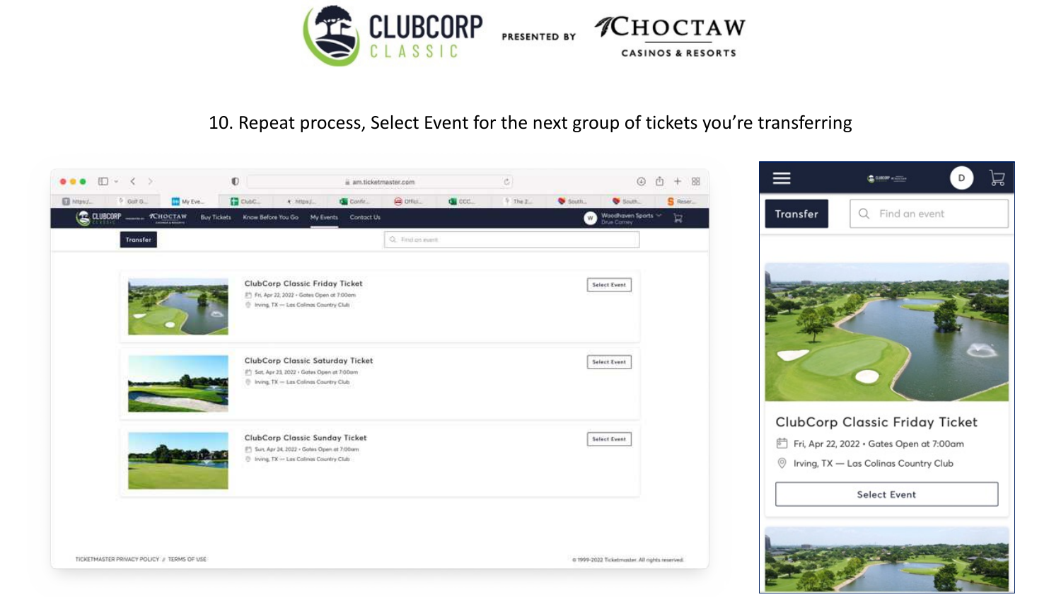![](_page_9_Picture_0.jpeg)

# 10. Repeat process, Select Event for the next group of tickets you're transferring

![](_page_9_Picture_2.jpeg)